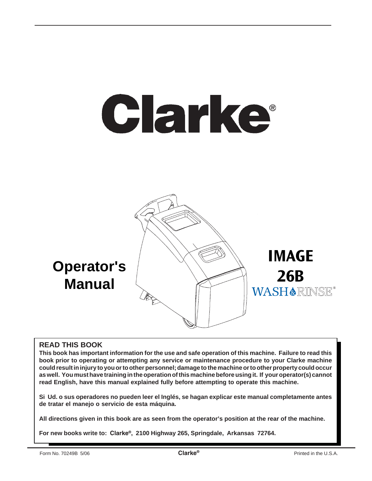# Clarke®



#### **READ THIS BOOK**

**This book has important information for the use and safe operation of this machine. Failure to read this book prior to operating or attempting any service or maintenance procedure to your Clarke machine could result in injury to you or to other personnel; damage to the machine or to other property could occur as well. You must have training in the operation of this machine before using it. If your operator(s) cannot read English, have this manual explained fully before attempting to operate this machine.**

**Si Ud. o sus operadores no pueden leer el Inglés, se hagan explicar este manual completamente antes de tratar el manejo o servicio de esta máquina.**

**All directions given in this book are as seen from the operator's position at the rear of the machine.**

**For new books write to: Clarke®, 2100 Highway 265, Springdale, Arkansas 72764.**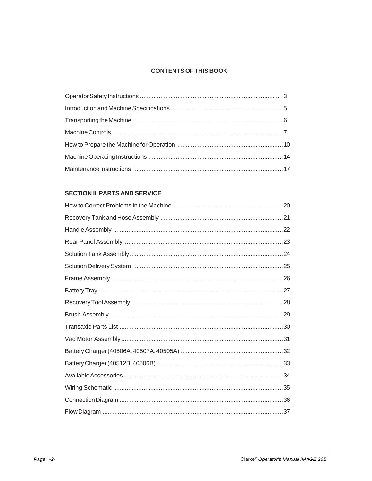#### **CONTENTS OF THIS BOOK**

#### **SECTION II PARTS AND SERVICE**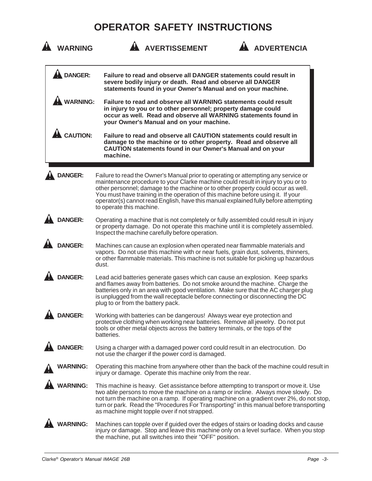### **OPERATOR SAFETY INSTRUCTIONS**

| <b>WARNING</b>  | <b>ADVERTENCIA</b><br><b>AVERTISSEMENT</b>                                                                                                                                                                                                                                                                                                                                                                                                                        |
|-----------------|-------------------------------------------------------------------------------------------------------------------------------------------------------------------------------------------------------------------------------------------------------------------------------------------------------------------------------------------------------------------------------------------------------------------------------------------------------------------|
| <b>DANGER:</b>  | Failure to read and observe all DANGER statements could result in<br>severe bodily injury or death. Read and observe all DANGER<br>statements found in your Owner's Manual and on your machine.                                                                                                                                                                                                                                                                   |
| <b>WARNING:</b> | Failure to read and observe all WARNING statements could result<br>in injury to you or to other personnel; property damage could<br>occur as well. Read and observe all WARNING statements found in<br>your Owner's Manual and on your machine.                                                                                                                                                                                                                   |
| <b>CAUTION:</b> | Failure to read and observe all CAUTION statements could result in<br>damage to the machine or to other property. Read and observe all<br><b>CAUTION statements found in our Owner's Manual and on your</b><br>machine.                                                                                                                                                                                                                                           |
| <b>DANGER:</b>  | Failure to read the Owner's Manual prior to operating or attempting any service or<br>maintenance procedure to your Clarke machine could result in injury to you or to<br>other personnel; damage to the machine or to other property could occur as well.<br>You must have training in the operation of this machine before using it. If your<br>operator(s) cannot read English, have this manual explained fully before attempting<br>to operate this machine. |
| <b>DANGER:</b>  | Operating a machine that is not completely or fully assembled could result in injury<br>or property damage. Do not operate this machine until it is completely assembled.<br>Inspect the machine carefully before operation.                                                                                                                                                                                                                                      |
| <b>DANGER:</b>  | Machines can cause an explosion when operated near flammable materials and<br>vapors. Do not use this machine with or near fuels, grain dust, solvents, thinners,<br>or other flammable materials. This machine is not suitable for picking up hazardous<br>dust.                                                                                                                                                                                                 |
| <b>DANGER:</b>  | Lead acid batteries generate gases which can cause an explosion. Keep sparks<br>and flames away from batteries. Do not smoke around the machine. Charge the<br>batteries only in an area with good ventilation. Make sure that the AC charger plug<br>is unplugged from the wall receptacle before connecting or disconnecting the DC<br>plug to or from the battery pack.                                                                                        |
| <b>DANGER:</b>  | Working with batteries can be dangerous! Always wear eye protection and<br>protective clothing when working near batteries. Remove all jewelry. Do not put<br>tools or other metal objects across the battery terminals, or the tops of the<br>batteries.                                                                                                                                                                                                         |
| <b>DANGER:</b>  | Using a charger with a damaged power cord could result in an electrocution. Do<br>not use the charger if the power cord is damaged.                                                                                                                                                                                                                                                                                                                               |
| <b>WARNING:</b> | Operating this machine from anywhere other than the back of the machine could result in<br>injury or damage. Operate this machine only from the rear.                                                                                                                                                                                                                                                                                                             |
| <b>WARNING:</b> | This machine is heavy. Get assistance before attempting to transport or move it. Use<br>two able persons to move the machine on a ramp or incline. Always move slowly. Do<br>not turn the machine on a ramp. If operating machine on a gradient over 2%, do not stop,<br>turn or park. Read the "Procedures For Transporting" in this manual before transporting<br>as machine might topple over if not strapped.                                                 |
| <b>WARNING:</b> | Machines can topple over if guided over the edges of stairs or loading docks and cause<br>injury or damage. Stop and leave this machine only on a level surface. When you stop<br>the machine, put all switches into their "OFF" position.                                                                                                                                                                                                                        |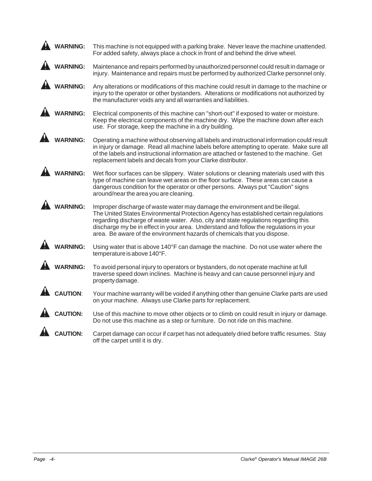| <b>WARNING:</b> | This machine is not equipped with a parking brake. Never leave the machine unattended.<br>For added safety, always place a chock in front of and behind the drive wheel.                                                                                                                                                                                                                                                          |
|-----------------|-----------------------------------------------------------------------------------------------------------------------------------------------------------------------------------------------------------------------------------------------------------------------------------------------------------------------------------------------------------------------------------------------------------------------------------|
| <b>WARNING:</b> | Maintenance and repairs performed by unauthorized personnel could result in damage or<br>injury. Maintenance and repairs must be performed by authorized Clarke personnel only.                                                                                                                                                                                                                                                   |
| <b>WARNING:</b> | Any alterations or modifications of this machine could result in damage to the machine or<br>injury to the operator or other bystanders. Alterations or modifications not authorized by<br>the manufacturer voids any and all warranties and liabilities.                                                                                                                                                                         |
| <b>WARNING:</b> | Electrical components of this machine can "short-out" if exposed to water or moisture.<br>Keep the electrical components of the machine dry. Wipe the machine down after each<br>use. For storage, keep the machine in a dry building.                                                                                                                                                                                            |
| <b>ARNING:</b>  | Operating a machine without observing all labels and instructional information could result<br>in injury or damage. Read all machine labels before attempting to operate. Make sure all<br>of the labels and instructional information are attached or fastened to the machine. Get<br>replacement labels and decals from your Clarke distributor.                                                                                |
| <b>ARNING:</b>  | Wet floor surfaces can be slippery. Water solutions or cleaning materials used with this<br>type of machine can leave wet areas on the floor surface. These areas can cause a<br>dangerous condition for the operator or other persons. Always put "Caution" signs<br>around/near the area you are cleaning.                                                                                                                      |
| <b>WARNING:</b> | Improper discharge of waste water may damage the environment and be illegal.<br>The United States Environmental Protection Agency has established certain regulations<br>regarding discharge of waste water. Also, city and state regulations regarding this<br>discharge my be in effect in your area. Understand and follow the regulations in your<br>area. Be aware of the environment hazards of chemicals that you dispose. |
| <b>WARNING:</b> | Using water that is above 140°F can damage the machine. Do not use water where the<br>temperature is above 140°F.                                                                                                                                                                                                                                                                                                                 |
| <b>WARNING:</b> | To avoid personal injury to operators or bystanders, do not operate machine at full<br>traverse speed down inclines. Machine is heavy and can cause personnel injury and<br>property damage.                                                                                                                                                                                                                                      |
| <b>CAUTION:</b> | Your machine warranty will be voided if anything other than genuine Clarke parts are used<br>on your machine. Always use Clarke parts for replacement.                                                                                                                                                                                                                                                                            |
| <b>CAUTION:</b> | Use of this machine to move other objects or to climb on could result in injury or damage.<br>Do not use this machine as a step or furniture. Do not ride on this machine.                                                                                                                                                                                                                                                        |
| <b>AUTION:</b>  | Carpet damage can occur if carpet has not adequately dried before traffic resumes. Stay<br>off the carpet until it is dry.                                                                                                                                                                                                                                                                                                        |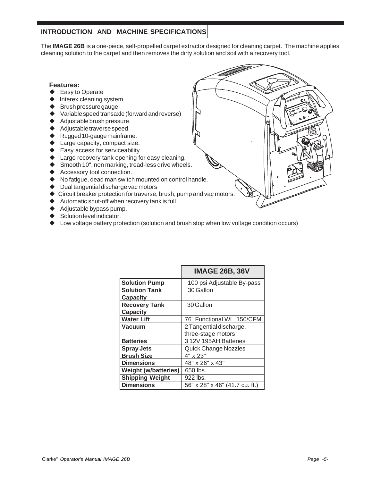#### **INTRODUCTION AND MACHINE SPECIFICATIONS**

The **IMAGE 26B** is a one-piece, self-propelled carpet extractor designed for cleaning carpet. The machine applies cleaning solution to the carpet and then removes the dirty solution and soil with a recovery tool.

#### **Features:** Easy to Operate Interex cleaning system. Brush pressure gauge. Variable speed transaxle (forward and reverse) Adjustable brush pressure. Adjustable traverse speed. Rugged 10-gauge mainframe. **Large capacity, compact size.**  Easy access for serviceability. Large recovery tank opening for easy cleaning. Smooth 10", non marking, tread-less drive wheels. Accessory tool connection. No fatigue, dead man switch mounted on control handle. Dual tangential discharge vac motors ◆ Circuit breaker protection for traverse, brush, pump and vac motors. Automatic shut-off when recovery tank is full. Adjustable bypass pump.

- **Solution level indicator.**
- Low voltage battery protection (solution and brush stop when low voltage condition occurs)

|                             | <b>IMAGE 26B, 36V</b>          |
|-----------------------------|--------------------------------|
| <b>Solution Pump</b>        | 100 psi Adjustable By-pass     |
| <b>Solution Tank</b>        | 30 Gallon                      |
| <u>Capacity</u>             |                                |
| <b>Recovery Tank</b>        | 30 Gallon                      |
| <b>Capacity</b>             |                                |
| <b>Water Lift</b>           | 76" Functional WL 150/CFM      |
| Vacuum                      | 2 Tangential discharge,        |
|                             | three-stage motors             |
| <b>Batteries</b>            | 312V 195AH Batteries           |
| <b>Spray Jets</b>           | <b>Quick Change Nozzles</b>    |
| <b>Brush Size</b>           | 4" x 23"                       |
| <b>Dimensions</b>           | 48" x 26" x 43"                |
| <b>Weight (w/batteries)</b> | 650 lbs.                       |
| <b>Shipping Weight</b>      | 922 lbs.                       |
| <b>Dimensions</b>           | 56" x 28" x 46" (41.7 cu. ft.) |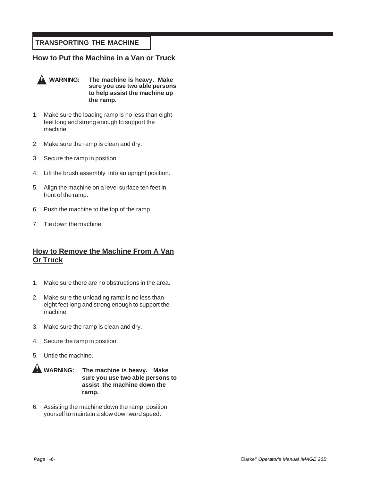#### **TRANSPORTING THE MACHINE**

#### **How to Put the Machine in a Van or Truck**



**WARNING: The machine is heavy. Make sure you use two able persons to help assist the machine up the ramp.**

- 1. Make sure the loading ramp is no less than eight feet long and strong enough to support the machine.
- 2. Make sure the ramp is clean and dry.
- 3. Secure the ramp in position.
- 4. Lift the brush assembly into an upright position.
- 5. Align the machine on a level surface ten feet in front of the ramp.
- 6. Push the machine to the top of the ramp.
- 7. Tie down the machine.

#### **How to Remove the Machine From A Van Or Truck**

- 1. Make sure there are no obstructions in the area.
- 2. Make sure the unloading ramp is no less than eight feet long and strong enough to support the machine.
- 3. Make sure the ramp is clean and dry.
- 4. Secure the ramp in position.
- 5. Untie the machine.



6. Assisting the machine down the ramp, position yourself to maintain a slow downward speed.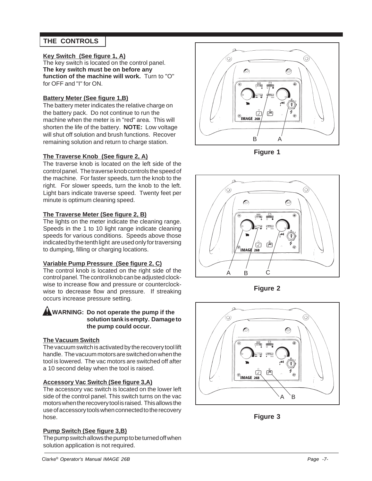#### **THE CONTROLS**

#### **Key Switch (See figure 1, A)**

The key switch is located on the control panel. **The key switch must be on before any function of the machine will work.** Turn to "O" for OFF and "I" for ON.

#### **Battery Meter (See figure 1,B)**

The battery meter indicates the relative charge on the battery pack. Do not continue to run the machine when the meter is in "red" area. This will shorten the life of the battery. **NOTE:** Low voltage will shut off solution and brush functions. Recover remaining solution and return to charge station.

#### **The Traverse Knob (See figure 2, A)**

The traverse knob is located on the left side of the control panel. The traverse knob controls the speed of the machine. For faster speeds, turn the knob to the right. For slower speeds, turn the knob to the left. Light bars indicate traverse speed. Twenty feet per minute is optimum cleaning speed.

#### **The Traverse Meter (See figure 2, B)**

The lights on the meter indicate the cleaning range. Speeds in the 1 to 10 light range indicate cleaning speeds for various conditions. Speeds above those indicated by the tenth light are used only for traversing to dumping, filling or charging locations.

#### **Variable Pump Pressure (See figure 2, C)**

The control knob is located on the right side of the control panel. The control knob can be adjusted clockwise to increase flow and pressure or counterclockwise to decrease flow and pressure. If streaking occurs increase pressure setting.

#### **WARNING: Do not operate the pump if the solution tank is empty. Damage to the pump could occur.**

#### **The Vacuum Switch**

The vacuum switch is activated by the recovery tool lift handle. The vacuum motors are switched on when the tool is lowered. The vac motors are switched off after a 10 second delay when the tool is raised.

#### **Accessory Vac Switch (See figure 3,A)**

The accessory vac switch is located on the lower left side of the control panel. This switch turns on the vac motors when the recovery tool is raised. This allows the use of accessory tools when connected to the recovery hose.

#### **Pump Switch (See figure 3,B)**

The pump switch allows the pump to be turned off when solution application is not required.



**Figure 1**



**Figure 2**



**Figure 3**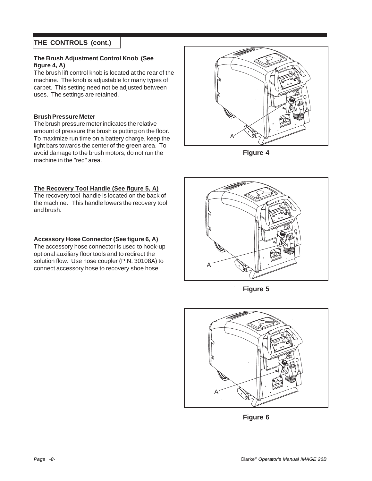#### **THE CONTROLS (cont.)**

#### **The Brush Adjustment Control Knob (See figure 4, A)**

The brush lift control knob is located at the rear of the machine. The knob is adjustable for many types of carpet. This setting need not be adjusted between uses. The settings are retained.

#### **Brush Pressure Meter**

The brush pressure meter indicates the relative amount of pressure the brush is putting on the floor. To maximize run time on a battery charge, keep the light bars towards the center of the green area. To avoid damage to the brush motors, do not run the machine in the "red" area.

#### **The Recovery Tool Handle (See figure 5, A)**

The recovery tool handle is located on the back of the machine. This handle lowers the recovery tool and brush.

#### **Accessory Hose Connector (See figure 6, A)**

The accessory hose connector is used to hook-up optional auxiliary floor tools and to redirect the solution flow. Use hose coupler (P.N. 30108A) to connect accessory hose to recovery shoe hose.



**Figure 4**



**Figure 5**



**Figure 6**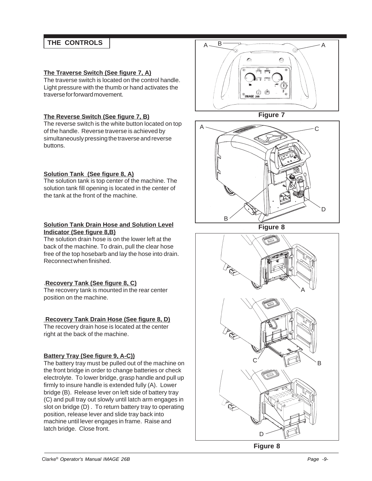#### **THE CONTROLS**

#### **The Traverse Switch (See figure 7, A)**

The traverse switch is located on the control handle. Light pressure with the thumb or hand activates the traverse for forward movement.

#### **The Reverse Switch (See figure 7, B)**

The reverse switch is the white button located on top of the handle. Reverse traverse is achieved by simultaneously pressing the traverse and reverse buttons.

#### **Solution Tank (See figure 8, A)**

The solution tank is top center of the machine. The solution tank fill opening is located in the center of the tank at the front of the machine.

#### **Solution Tank Drain Hose and Solution Level Indicator (See figure 8,B)**

The solution drain hose is on the lower left at the back of the machine. To drain, pull the clear hose free of the top hosebarb and lay the hose into drain. Reconnect when finished.

#### .**Recovery Tank (See figure 8, C)**

The recovery tank is mounted in the rear center position on the machine.

#### **Recovery Tank Drain Hose (See figure 8, D)**

The recovery drain hose is located at the center right at the back of the machine.

#### **Battery Tray (See figure 9, A-C))**

The battery tray must be pulled out of the machine on the front bridge in order to change batteries or check electrolyte. To lower bridge, grasp handle and pull up firmly to insure handle is extended fully (A). Lower bridge (B). Release lever on left side of battery tray (C) and pull tray out slowly until latch arm engages in slot on bridge (D) . To return battery tray to operating position, release lever and slide tray back into machine until lever engages in frame. Raise and latch bridge. Close front.



**Figure 7**



**Figure 8**

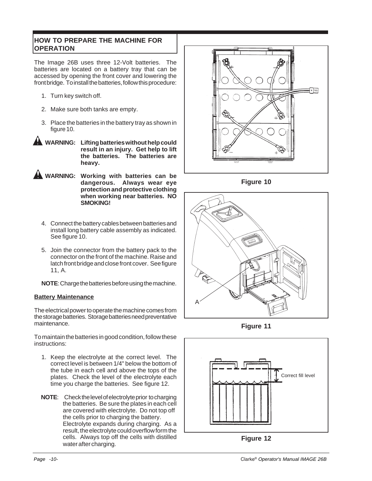#### **HOW TO PREPARE THE MACHINE FOR OPERATION**

The Image 26B uses three 12-Volt batteries. The batteries are located on a battery tray that can be accessed by opening the front cover and lowering the front bridge. To install the batteries, follow this procedure:

- 1. Turn key switch off.
- 2. Make sure both tanks are empty.
- 3. Place the batteries in the battery tray as shown in figure 10.
- **WARNING: Lifting batteries without help could result in an injury. Get help to lift the batteries. The batteries are heavy.**
- **WARNING: Working with batteries can be dangerous. Always wear eye protection and protective clothing when working near batteries. NO SMOKING!**
	- 4. Connect the battery cables between batteries and install long battery cable assembly as indicated. See figure 10.
	- 5. Join the connector from the battery pack to the connector on the front of the machine. Raise and latch front bridge and close front cover. See figure 11, A.

**NOTE**: Charge the batteries before using the machine.

#### **Battery Maintenance**

The electrical power to operate the machine comes from the storage batteries. Storage batteries need preventative maintenance.

To maintain the batteries in good condition, follow these instructions:

- 1. Keep the electrolyte at the correct level. The correct level is between 1/4" below the bottom of the tube in each cell and above the tops of the plates. Check the level of the electrolyte each time you charge the batteries. See figure 12.
- **NOTE**: Check the level of electrolyte prior to charging the batteries. Be sure the plates in each cell are covered with electrolyte. Do not top off the cells prior to charging the battery. Electrolyte expands during charging. As a result, the electrolyte could overflow form the cells. Always top off the cells with distilled water after charging.



**Figure 10**



**Figure 11**

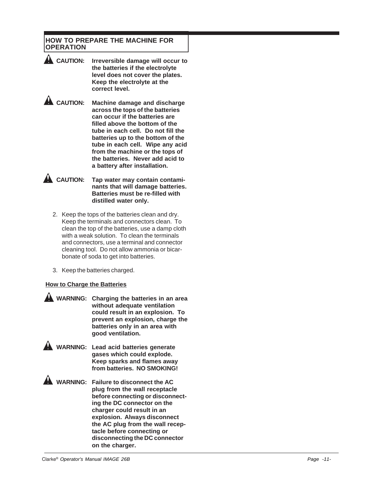#### **HOW TO PREPARE THE MACHINE FOR OPERATION**

**CAUTION: Irreversible damage will occur to the batteries if the electrolyte level does not cover the plates. Keep the electrolyte at the correct level.**

**CAUTION: Machine damage and discharge across the tops of the batteries can occur if the batteries are filled above the bottom of the tube in each cell. Do not fill the batteries up to the bottom of the tube in each cell. Wipe any acid from the machine or the tops of the batteries. Never add acid to a battery after installation.**

**A** CAUTION: Tap water may contain contami**nants that will damage batteries. Batteries must be re-filled with distilled water only.**

- 2. Keep the tops of the batteries clean and dry. Keep the terminals and connectors clean. To clean the top of the batteries, use a damp cloth with a weak solution. To clean the terminals and connectors, use a terminal and connector cleaning tool. Do not allow ammonia or bicarbonate of soda to get into batteries.
- 3. Keep the batteries charged.

#### **How to Charge the Batteries**

| A WARNING:      | Charging the batteries in an area<br>without adequate ventilation<br>could result in an explosion. To<br>prevent an explosion, charge the<br>batteries only in an area with<br>good ventilation.                                                                                                                      |
|-----------------|-----------------------------------------------------------------------------------------------------------------------------------------------------------------------------------------------------------------------------------------------------------------------------------------------------------------------|
| <b>WARNING:</b> | Lead acid batteries generate<br>gases which could explode.<br>Keep sparks and flames away<br>from batteries. NO SMOKING!                                                                                                                                                                                              |
| <b>WARNING:</b> | Failure to disconnect the AC<br>plug from the wall receptacle<br>before connecting or disconnect-<br>ing the DC connector on the<br>charger could result in an<br>explosion. Always disconnect<br>the AC plug from the wall recep-<br>tacle before connecting or<br>disconnecting the DC connector<br>on the charger. |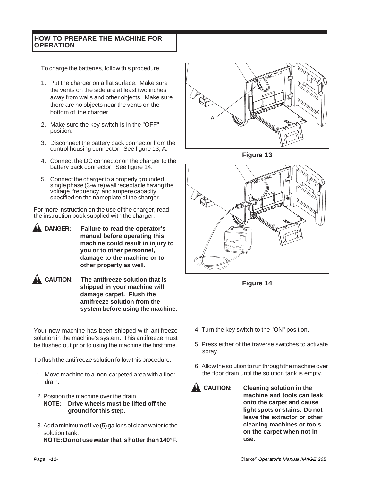#### **HOW TO PREPARE THE MACHINE FOR OPERATION**

To charge the batteries, follow this procedure:

- 1. Put the charger on a flat surface. Make sure the vents on the side are at least two inches away from walls and other objects. Make sure there are no objects near the vents on the bottom of the charger.
- 2. Make sure the key switch is in the "OFF" position.
- 3. Disconnect the battery pack connector from the control housing connector. See figure 13, A.
- 4. Connect the DC connector on the charger to the battery pack connector. See figure 14.
- 5. Connect the charger to a properly grounded single phase (3-wire) wall receptacle having the voltage, frequency, and ampere capacity specified on the nameplate of the charger.

For more instruction on the use of the charger, read the instruction book supplied with the charger.

**DANGER: Failure to read the operator's manual before operating this machine could result in injury to you or to other personnel, damage to the machine or to other property as well.**

**CAUTION: The antifreeze solution that is shipped in your machine will damage carpet. Flush the antifreeze solution from the system before using the machine.**

Your new machine has been shipped with antifreeze solution in the machine's system. This antifreeze must be flushed out prior to using the machine the first time.

To flush the antifreeze solution follow this procedure:

- 1. Move machine to a non-carpeted area with a floor drain.
- 2. Position the machine over the drain.
	- **NOTE: Drive wheels must be lifted off the ground for this step.**
- 3. Add a minimum of five (5) gallons of clean water to the solution tank. **NOTE: Do not use water that is hotter than 140°F.**



**Figure 13**



**Figure 14**

- 4. Turn the key switch to the "ON" position.
- 5. Press either of the traverse switches to activate spray.
- 6. Allow the solution to run through the machine over the floor drain until the solution tank is empty.
- 
- **CAUTION: Cleaning solution in the machine and tools can leak onto the carpet and cause light spots or stains. Do not leave the extractor or other cleaning machines or tools on the carpet when not in use.**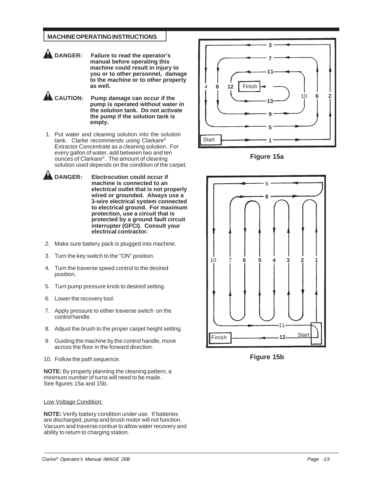#### **MACHINE OPERATING INSTRUCTIONS**

- **DANGER: Failure to read the operator's manual before operating this machine could result in injury to you or to other personnel, damage to the machine or to other property as well.**
- **CAUTION: Pump damage can occur if the pump is operated without water in the solution tank. Do not activate the pump if the solution tank is empty.**
- 1. Put water and cleaning solution into the solution tank. Clarke recommends using Clarkare® Extractor Concentrate as a cleaning solution. For every gallon of water, add between two and ten ounces of Clarkare®. The amount of cleaning solution used depends on the condition of the carpet.
- **DANGER: Electrocution could occur if machine is connected to an electrical outlet that is not properly wired or grounded. Always use a 3-wire electrical system connected to electrical ground. For maximum protection, use a circuit that is protected by a ground fault circuit interrupter (GFCI). Consult your electrical contractor.**
- 2. Make sure battery pack is plugged into machine.
- 3. Turn the key switch to the "ON" position.
- 4. Turn the traverse speed control to the desired position.
- 5. Turn pump pressure knob to desired setting.
- 6. Lower the recovery tool.
- 7. Apply pressure to either traverse switch on the control handle.
- 8. Adjust the brush to the proper carpet height setting.
- 9. Guiding the machine by the control handle, move across the floor in the forward direction.
- 10. Follow the path sequence.

**NOTE:** By properly planning the cleaning pattern, a minimum number of turns will need to be made. See figures 15a and 15b.

#### Low Voltage Condition:

**NOTE:** Verify battery condition under use. If batteries are discharged, pump and brush motor will not function. Vacuum and traverse contiue to allow water recovery and ability to return to charging station.



**Figure 15a**



**Figure 15b**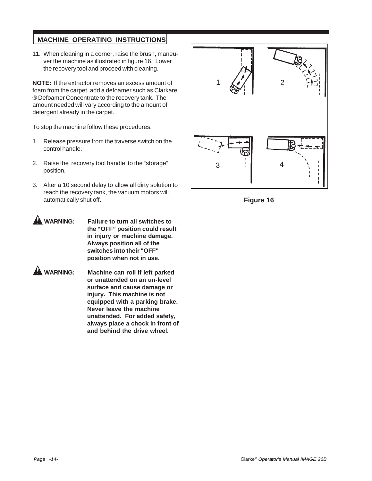#### **MACHINE OPERATING INSTRUCTIONS**

11. When cleaning in a corner, raise the brush, maneuver the machine as illustrated in figure 16. Lower the recovery tool and proceed with cleaning.

**NOTE:** If the extractor removes an excess amount of foam from the carpet, add a defoamer such as Clarkare ® Defoamer Concentrate to the recovery tank. The amount needed will vary according to the amount of detergent already in the carpet.

To stop the machine follow these procedures:

- 1. Release pressure from the traverse switch on the control handle.
- 2. Raise the recovery tool handle to the "storage" position.
- 3. After a 10 second delay to allow all dirty solution to reach the recovery tank, the vacuum motors will automatically shut off.
- **WARNING: Failure to turn all switches to the "OFF" position could result in injury or machine damage. Always position all of the switches into their "OFF" position when not in use.**
- **WARNING: Machine can roll if left parked or unattended on an un-level surface and cause damage or injury. This machine is not equipped with a parking brake. Never leave the machine unattended. For added safety, always place a chock in front of and behind the drive wheel.**



**Figure 16**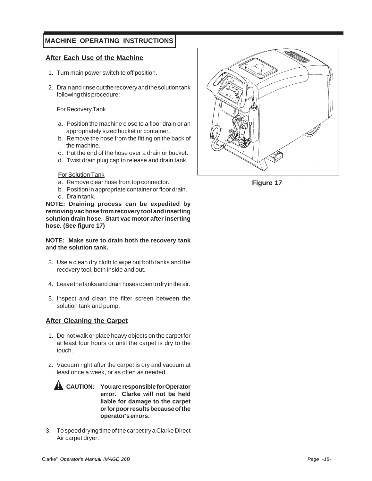#### **MACHINE OPERATING INSTRUCTIONS**

#### **After Each Use of the Machine**

- 1. Turn main power switch to off position.
- 2. Drain and rinse out the recovery and the solution tank following this procedure:

#### For Recovery Tank

- a. Position the machine close to a floor drain or an appropriately sized bucket or container.
- b. Remove the hose from the fitting on the back of the machine.
- c. Put the end of the hose over a drain or bucket.
- d. Twist drain plug cap to release and drain tank.

#### For Solution Tank

- a. Remove clear hose from top connector.
- b. Position in appropriate container or floor drain.
- c. Drain tank.

**NOTE: Draining process can be expedited by removing vac hose from recovery tool and inserting solution drain hose. Start vac motor after inserting hose. (See figure 17)**

#### **NOTE: Make sure to drain both the recovery tank and the solution tank.**

- 3. Use a clean dry cloth to wipe out both tanks and the recovery tool, both inside and out.
- 4. Leave the tanks and drain hoses open to dry in the air.
- 5. Inspect and clean the filter screen between the solution tank and pump.

#### **After Cleaning the Carpet**

- 1. Do not walk or place heavy objects on the carpet for at least four hours or until the carpet is dry to the touch.
- 2. Vacuum right after the carpet is dry and vacuum at least once a week, or as often as needed.

**CAUTION: You are responsible for Operator error. Clarke will not be held liable for damage to the carpet or for poor results because of the operator's errors.**

3. To speed drying time of the carpet try a Clarke Direct Air carpet dryer.



**Figure 17**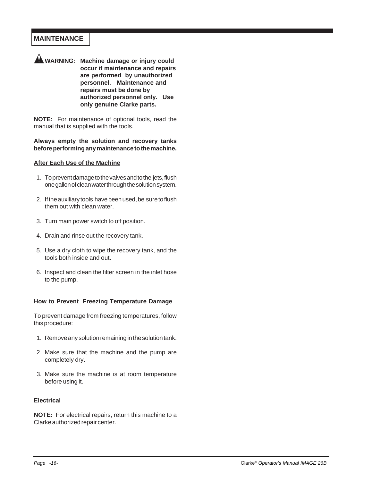#### **MAINTENANCE**

**WARNING: Machine damage or injury could occur if maintenance and repairs are performed by unauthorized personnel. Maintenance and repairs must be done by authorized personnel only. Use only genuine Clarke parts.**

**NOTE:** For maintenance of optional tools, read the manual that is supplied with the tools.

**Always empty the solution and recovery tanks before performing any maintenance to the machine.**

#### **After Each Use of the Machine**

- 1. To prevent damage to the valves and to the jets, flush one gallon of clean water through the solution system.
- 2. If the auxiliary tools have been used, be sure to flush them out with clean water.
- 3. Turn main power switch to off position.
- 4. Drain and rinse out the recovery tank.
- 5. Use a dry cloth to wipe the recovery tank, and the tools both inside and out.
- 6. Inspect and clean the filter screen in the inlet hose to the pump.

#### **How to Prevent Freezing Temperature Damage**

To prevent damage from freezing temperatures, follow this procedure:

- 1. Remove any solution remaining in the solution tank.
- 2. Make sure that the machine and the pump are completely dry.
- 3. Make sure the machine is at room temperature before using it.

#### **Electrical**

**NOTE:** For electrical repairs, return this machine to a Clarke authorized repair center.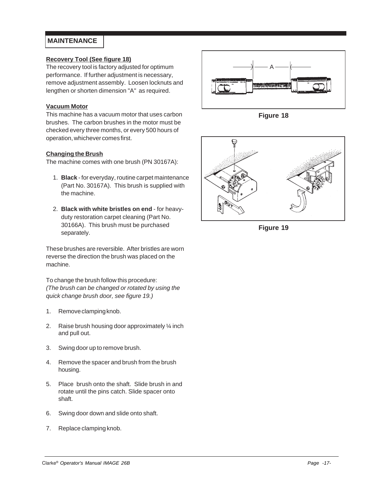#### **MAINTENANCE**

#### **Recovery Tool (See figure 18)**

The recovery tool is factory adjusted for optimum performance. If further adjustment is necessary, remove adjustment assembly. Loosen locknuts and lengthen or shorten dimension "A" as required.

#### **Vacuum Motor**

This machine has a vacuum motor that uses carbon brushes. The carbon brushes in the motor must be checked every three months, or every 500 hours of operation, whichever comes first.

#### **Changing the Brush**

The machine comes with one brush (PN 30167A):

- 1. **Black** for everyday, routine carpet maintenance (Part No. 30167A). This brush is supplied with the machine.
- 2. **Black with white bristles on end** for heavyduty restoration carpet cleaning (Part No. 30166A). This brush must be purchased separately.

These brushes are reversible. After bristles are worn reverse the direction the brush was placed on the machine.

To change the brush follow this procedure: *(The brush can be changed or rotated by using the quick change brush door, see figure 19.)*

- 1. Remove clamping knob.
- 2. Raise brush housing door approximately ¼ inch and pull out.
- 3. Swing door up to remove brush.
- 4. Remove the spacer and brush from the brush housing.
- 5. Place brush onto the shaft. Slide brush in and rotate until the pins catch. Slide spacer onto shaft.
- 6. Swing door down and slide onto shaft.
- 7. Replace clamping knob.



**Figure 18**



**Figure 19**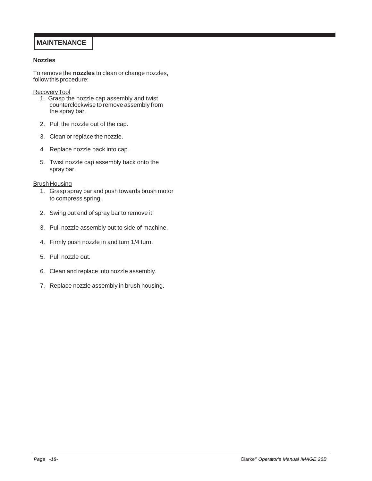#### **MAINTENANCE**

#### **Nozzles**

To remove the **nozzles** to clean or change nozzles, follow this procedure:

Recovery Tool

- 1. Grasp the nozzle cap assembly and twist counterclockwise to remove assembly from the spray bar.
- 2. Pull the nozzle out of the cap.
- 3. Clean or replace the nozzle.
- 4. Replace nozzle back into cap.
- 5. Twist nozzle cap assembly back onto the spray bar.

#### Brush Housing

- 1. Grasp spray bar and push towards brush motor to compress spring.
- 2. Swing out end of spray bar to remove it.
- 3. Pull nozzle assembly out to side of machine.
- 4. Firmly push nozzle in and turn 1/4 turn.
- 5. Pull nozzle out.
- 6. Clean and replace into nozzle assembly.
- 7. Replace nozzle assembly in brush housing.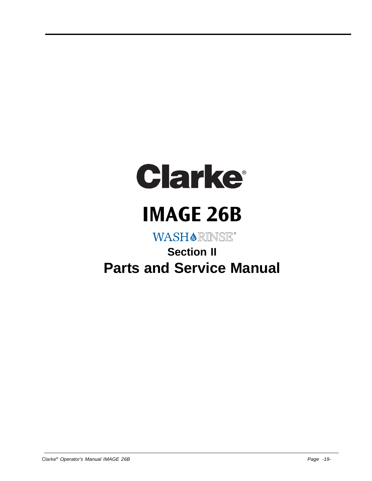# Clarke

# **IMAGE 26B**

# WASH&RINSE®

# **Section II Parts and Service Manual**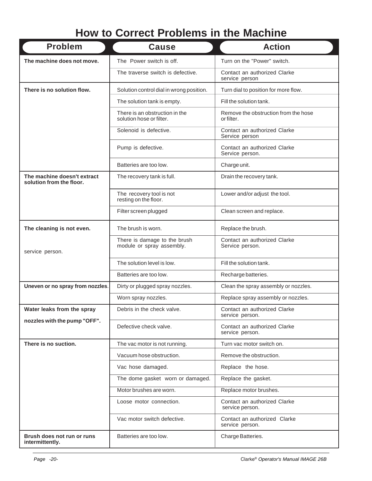## **How to Correct Problems in the Machine**

| <b>Problem</b>                                          | <b>Cause</b>                                               | <b>Action</b>                                      |
|---------------------------------------------------------|------------------------------------------------------------|----------------------------------------------------|
| The machine does not move.                              | The Power switch is off.                                   | Turn on the "Power" switch.                        |
|                                                         | The traverse switch is defective.                          | Contact an authorized Clarke<br>service person     |
| There is no solution flow.                              | Solution control dial in wrong position.                   | Turn dial to position for more flow.               |
|                                                         | The solution tank is empty.                                | Fill the solution tank.                            |
|                                                         | There is an obstruction in the<br>solution hose or filter. | Remove the obstruction from the hose<br>or filter. |
|                                                         | Solenoid is defective.                                     | Contact an authorized Clarke<br>Service person     |
|                                                         | Pump is defective.                                         | Contact an authorized Clarke<br>Service person.    |
|                                                         | Batteries are too low.                                     | Charge unit.                                       |
| The machine doesn't extract<br>solution from the floor. | The recovery tank is full.                                 | Drain the recovery tank.                           |
|                                                         | The recovery tool is not<br>resting on the floor.          | Lower and/or adjust the tool.                      |
|                                                         | Filter screen plugged                                      | Clean screen and replace.                          |
| The cleaning is not even.                               | The brush is worn.                                         | Replace the brush.                                 |
| service person.                                         | There is damage to the brush<br>module or spray assembly.  | Contact an authorized Clarke<br>Service person.    |
|                                                         | The solution level is low.                                 | Fill the solution tank.                            |
|                                                         | Batteries are too low.                                     | Recharge batteries.                                |
| Uneven or no spray from nozzles.                        | Dirty or plugged spray nozzles.                            | Clean the spray assembly or nozzles.               |
|                                                         | Worn spray nozzles.                                        | Replace spray assembly or nozzles.                 |
| Water leaks from the spray                              | Debris in the check valve.                                 | Contact an authorized Clarke<br>service person.    |
| nozzles with the pump "OFF".                            | Defective check valve.                                     | Contact an authorized Clarke<br>service person.    |
| There is no suction.                                    | The vac motor is not running.                              | Turn vac motor switch on.                          |
|                                                         | Vacuum hose obstruction.                                   | Remove the obstruction.                            |
|                                                         | Vac hose damaged.                                          | Replace the hose.                                  |
|                                                         | The dome gasket worn or damaged.                           | Replace the gasket.                                |
|                                                         | Motor brushes are worn.                                    | Replace motor brushes.                             |
|                                                         | Loose motor connection.                                    | Contact an authorized Clarke<br>service person.    |
|                                                         | Vac motor switch defective.                                | Contact an authorized Clarke<br>service person.    |
| Brush does not run or runs<br>intermittently.           | Batteries are too low.                                     | Charge Batteries.                                  |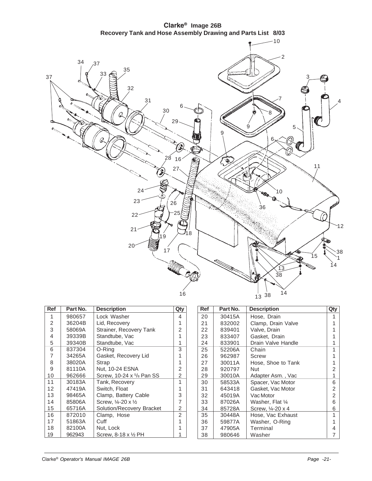**Clarke® Image 26B Recovery Tank and Hose Assembly Drawing and Parts List 8/03**



| <b>Ref</b> | Part No. | <b>Description</b>                                | Qty            |
|------------|----------|---------------------------------------------------|----------------|
| 1          | 980657   | Lock Washer                                       | 4              |
| 2          | 36204B   | Lid, Recovery                                     | 1              |
| 3          | 58069A   | Strainer, Recovery Tank                           | 2              |
| 4          | 39339B   | Standtube, Vac                                    | 1              |
| 5          | 39340B   | Standtube, Vac                                    | 1              |
| 6          | 837304   | O-Rina                                            | 3              |
| 7          | 34265A   | Gasket, Recovery Lid                              | 1              |
| 8          | 38020A   | Strap                                             | 1              |
| 9          | 81110A   | Nut, 10-24 ESNA                                   | 2              |
| 10         | 962666   | Screw, 10-24 x <sup>5</sup> / <sub>8</sub> Pan SS | $\overline{2}$ |
| 11         | 30183A   | Tank, Recovery                                    | 1              |
| 12         | 47419A   | Switch, Float                                     | 1              |
| 13         | 98465A   | Clamp, Battery Cable                              | 3              |
| 14         | 85806A   | Screw, $\frac{1}{4}$ -20 x $\frac{1}{2}$          | 7              |
| 15         | 65716A   | Solution/Recovery Bracket                         | 2              |
| 16         | 872010   | Clamp, Hose                                       | $\overline{2}$ |
| 17         | 51863A   | Cuff                                              |                |
| 18         | 82100A   | Nut, Lock                                         |                |
| 19         | 962943   | Screw, 8-18 x 1/2 PH                              |                |

| <b>Ref</b> | Part No. | <b>Description</b> | Qty            |
|------------|----------|--------------------|----------------|
| 20         | 30415A   | Hose, Drain        |                |
| 21         | 832002   | Clamp, Drain Valve | 1              |
| 22         | 839401   | Valve, Drain       | 1              |
| 23         | 833407   | Gasket, Drain      | 1              |
| 24         | 833901   | Drain Valve Handle | 1              |
| 25         | 52206A   | Chain              | 1              |
| 26         | 962987   | Screw              | 1              |
| 27         | 30011A   | Hose, Shoe to Tank | 1              |
| 28         | 920797   | Nut                | 2              |
| 29         | 30010A   | Adapter Asm., Vac  | 1              |
| 30         | 58533A   | Spacer, Vac Motor  | 6              |
| 31         | 643418   | Gasket, Vac Motor  | 2              |
| 32         | 45019A   | Vac Motor          | $\overline{2}$ |
| 33         | 87026A   | Washer, Flat 1/4   | 6              |
| 34         | 85728A   | Screw, 1⁄4-20 x 4  | 6              |
| 35         | 30448A   | Hose, Vac Exhaust  | 1              |
| 36         | 59877A   | Washer, O-Ring     | 1              |
| 37         | 47905A   | Terminal           | 4              |
| 38         | 980646   | Washer             | 7              |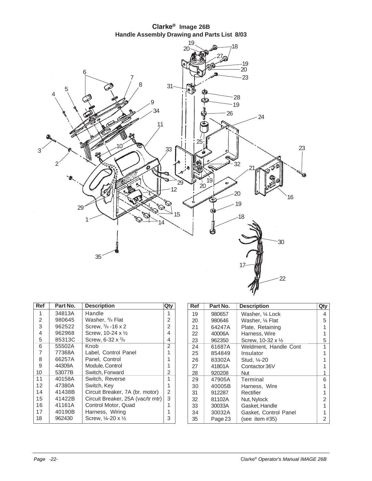

| Ref | Part No. | <b>Description</b>                       | Qty |
|-----|----------|------------------------------------------|-----|
| 1   | 34813A   | Handle                                   | 1   |
| 2   | 980645   | Washer, 3/8 Flat                         | 2   |
| 3   | 962522   | Screw, $\frac{3}{8}$ -16 x 2             | 2   |
| 4   | 962968   | Screw, 10-24 x 1/2                       | 4   |
| 5   | 85313C   | Screw, $6-32 \times \frac{3}{8}$         | 4   |
| 6   | 55502A   | Knob                                     | 2   |
| 7   | 77368A   | Label, Control Panel                     | 1   |
| 8   | 66257A   | Panel, Control                           |     |
| 9   | 44309A   | Module, Control                          |     |
| 10  | 53077B   | Switch, Forward                          | 2   |
| 11  | 40158A   | Switch, Reverse                          | 1   |
| 12  | 47380A   | Switch, Key                              |     |
| 14  | 41438B   | Circuit Breaker, 7A (br. motor)          | 2   |
| 15  | 41422B   | Circuit Breaker, 25A (vac/tr mtr)        | 3   |
| 16  | 41161A   | Control Motor, Quad                      | 1   |
| 17  | 40190B   | Harness, Wiring                          |     |
| 18  | 962430   | Screw, $\frac{1}{4}$ -20 x $\frac{1}{2}$ | 3   |

| <b>Ref</b> | Part No. | <b>Description</b>    | Qty |
|------------|----------|-----------------------|-----|
| 19         | 980657   | Washer, ¼ Lock        |     |
| 20         | 980646   | Washer, ¼ Flat        | 5   |
| 21         | 64247A   | Plate, Retaining      | 1   |
| 22         | 40006A   | Harness, Wire         | 1   |
| 23         | 962350   | Screw, 10-32 x 1/2    | 5   |
| 24         | 61687A   | Weldment, Handle Cont | 1   |
| 25         | 854849   | Insulator             | 1   |
| 26         | 83302A   | Stud. 1⁄4-20          | 1   |
| 27         | 41801A   | Contactor 36V         |     |
| 28         | 920208   | Nut                   |     |
| 29         | 47905A   | Terminal              | 6   |
| 30         | 40005B   | Harness, Wire         | 1   |
| 31         | 912287   | Rectifier             | 1   |
| 32         | 81102A   | Nut, Nylock           | 2   |
| 33         | 30033A   | Gasket, Handle        | 1   |
| 34         | 30032A   | Gasket, Control Panel |     |
| 35         | Page 23  | (see item $#35$ )     | 2   |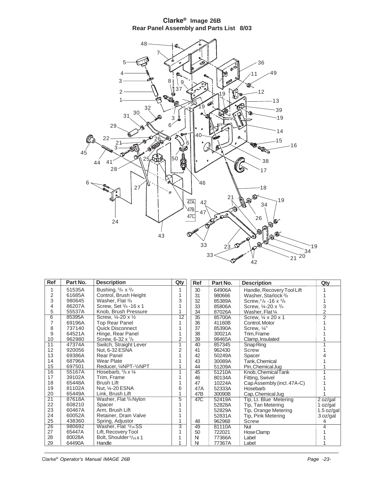#### **Clarke® Image 26B Rear Panel Assembly and Parts List 8/03**



| Ref             | Part No. | <b>Description</b>                      | Qty             | Ref | Part No. | <b>Description</b>                       | Qty            |
|-----------------|----------|-----------------------------------------|-----------------|-----|----------|------------------------------------------|----------------|
| 1               | 51535A   | Bushing, 5/8 x 3/4                      |                 | 30  | 64906A   | Handle, Recovery Tool Lift               |                |
| 2               | 61685A   | Control, Brush Height                   |                 | 31  | 980666   | Washer, Starlock <sup>3</sup> /8         |                |
| 3               | 980645   | Washer, Flat 3/8                        | 3               | 32  | 85389A   | Screw, $3/8$ -16 x $5/8$                 |                |
| 4               | 86207A   | Screw, Set 3/8 - 16 x 1                 |                 | 33  | 85806A   | Screw, $\frac{1}{4}$ -20 x $\frac{3}{4}$ |                |
| 5               | 55537A   | Knob, Brush Pressure                    | 1               | 34  | 87026A   | Washer, Flat 1/4                         | $\frac{3}{2}$  |
| $\overline{6}$  | 85395A   | Screw, 1/4-20 x 1/2                     | $\overline{12}$ | 35  | 85700A   | Screw, 1/4 x 20 x 1                      | $\overline{2}$ |
| 7               | 69196A   | <b>Top Rear Panel</b>                   |                 | 36  | 41160B   | Control, Motor                           |                |
| 8               | 737140   | <b>Quick Disconnect</b>                 |                 | 37  | 85390A   | Screw, 1/4"                              |                |
| 9               | 64521A   | Hinge, Rear Panel                       |                 | 38  | 30021A   | Trim, Frame                              |                |
| 10              | 962980   | Screw, 6-32 x 7/8                       | 2               | 39  | 98465A   | Clamp, Insulated                         |                |
| $\overline{11}$ | 47374A   | Switch, Straight Lever                  | 1               | 40  | 857345   | Snap Ring                                |                |
| 12              | 920056   | Nut, 6-32 ESNA                          | $\overline{2}$  | 41  | 962430   | Screw                                    |                |
| 13              | 69386A   | Rear Panel                              |                 | 42  | 50249A   | Spacer                                   |                |
| 14              | 68796A   | <b>Wear Plate</b>                       |                 | 43  | 30089A   | Tank, Chemical                           |                |
| 15              | 697501   | Reducer, 1/4NPT-1/8NPT                  |                 | 44  | 51209A   | Pin, Chemical Jug                        |                |
| 16              | 55167A   | Hosebarb, $\frac{3}{8}$ x $\frac{1}{4}$ |                 | 45  | 51210A   | Knob, Chemical Tank                      |                |
| 17              | 39102A   | Trim, Frame                             |                 | 46  | 80134A   | Fitting, Swivel                          |                |
| 18              | 65448A   | <b>Brush Lift</b>                       |                 | 47  | 10224A   | Cap Assembly (incl. 47A-C)               |                |
| 19              | 81102A   | Nut, 1/4-20 ESNA                        | 6               | 47A | 52333A   | Hosebarb                                 |                |
| 20              | 65449A   | Link, Brush Lift                        |                 | 47B | 30090B   | Cap, Chemical Jug                        |                |
| $\overline{21}$ | 87618A   | Washer, Flat <sup>3</sup> /8 Nylon      | $\overline{5}$  | 47C | 52419A   | Tip, Lt. Blue Metering                   | 2 oz/gal       |
| 22              | 608210   | Spacer                                  |                 |     | 52828A   | Tip, Tan Metering                        | 1 oz/gal       |
| 23              | 60467A   | Arm, Brush Lift                         |                 |     | 52829A   | Tip, Orange Metering                     | $1.5$ oz/gal   |
| 24              | 60052A   | Retainer, Drain Valve                   |                 |     | 52831A   | Tip, Pink Metering                       | 3 oz/gal       |
| 25              | 438360   | Spring, Adjustor                        | 1               | 48  | 962968   | Screw                                    | 4              |
| $\overline{26}$ | 980692   | Washer, Flat 5/16 SS                    | 3               | 49  | 81110A   | <b>Nut</b>                               |                |
| 27              | 65447A   | Lift, Recovery Tool                     |                 | 50  | 722021   | Hose Clamp                               |                |
| 28              | 80028A   | Bolt, Shoulder <sup>5</sup> /16X1       |                 | N   | 77366A   | Label                                    |                |
| 29              | 64490A   | Handle                                  |                 | N   | 77367A   | Label                                    |                |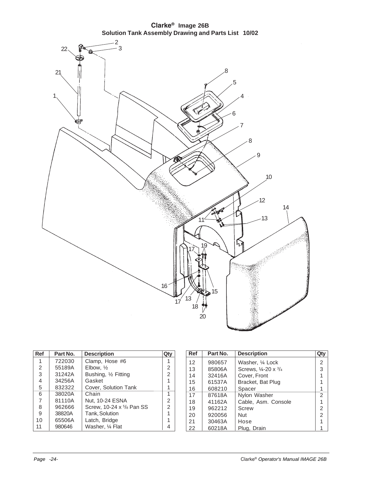**Clarke® Image 26B Solution Tank Assembly Drawing and Parts List 10/02**



| Ref            | Part No. | <b>Description</b>        |   |
|----------------|----------|---------------------------|---|
| 1              | 722030   | Clamp, Hose #6            |   |
| $\overline{2}$ | 55189A   | Elbow, 1/2                | 2 |
| 3              | 31242A   | Bushing, 1/2 Fitting      | 2 |
| 4              | 34256A   | Gasket                    |   |
| 5              | 832322   | Cover, Solution Tank      |   |
| 6              | 38020A   | Chain                     |   |
| 7              | 81110A   | Nut, 10-24 ESNA           | 2 |
| 8              | 962666   | Screw, 10-24 x 5/8 Pan SS | 2 |
| 9              | 38820A   | Tank, Solution            |   |
| 10             | 65506A   | Latch, Bridge             |   |
| 11             | 980646   | Washer, 1/4 Flat          |   |

| <b>Ref</b> | Part No. | <b>Description</b>   | Qty            |
|------------|----------|----------------------|----------------|
| 12         | 980657   | Washer, 1/4 Lock     | 2              |
| 13         | 85806A   | Screws, 1/4-20 x 3/4 | 3              |
| 14         | 32416A   | Cover, Front         |                |
| 15         | 61537A   | Bracket, Bat Plug    |                |
| 16         | 608210   | Spacer               |                |
| 17         | 87618A   | Nylon Washer         | 2              |
| 18         | 41162A   | Cable, Asm. Console  |                |
| 19         | 962212   | Screw                | 2              |
| 20         | 920056   | Nut                  | $\mathfrak{p}$ |
| 21         | 30463A   | Hose                 |                |
| 22         | 60218A   | Plug, Drain          |                |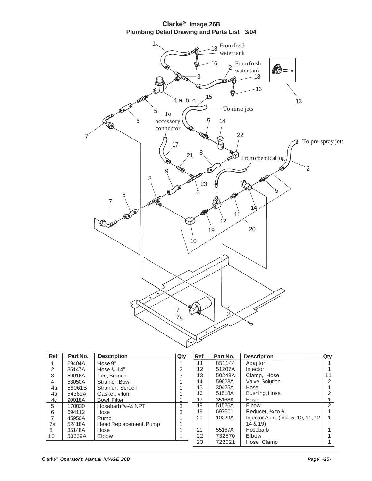#### **Clarke® Image 26B Plumbing Detail Drawing and Parts List 3/04**



| <b>Ref</b> | Part No. | <b>Description</b>     | Qty           | <b>Ref</b> | Part No. | <b>Description</b>                      | Qty           |
|------------|----------|------------------------|---------------|------------|----------|-----------------------------------------|---------------|
|            | 69404A   | Hose 9"                |               | 11         | 851144   | Adaptor                                 |               |
| 2          | 35147A   | Hose 3/814"            | $\mathcal{P}$ | 12         | 51207A   | Injector                                |               |
| 3          | 59016A   | Tee. Branch            |               | 13         | 50248A   | Clamp, Hose                             | 11            |
| 4          | 53050A   | Strainer, Bowl         |               | 14         | 59623A   | Valve, Solution                         | ⌒             |
| 4a         | 58061B   | Strainer, Screen       |               | 15         | 30425A   | Hose                                    |               |
| 4b         | 54369A   | Gasket, viton          |               | 16         | 51518A   | Bushing, Hose                           |               |
| 4c         | 90018A   | Bowl. Filter           |               | 17         | 35168A   | Hose                                    |               |
| 5          | 170030   | Hosebarb 3/8-1/4 NPT   | 3             | 18         | 51526A   | Elbow                                   | $\mathcal{P}$ |
| 6          | 694112   | Hose                   |               | 19         | 697501   | Reducer. $\frac{1}{4}$ to $\frac{1}{8}$ |               |
|            | 45950A   | Pump                   |               | 20         | 10229A   | Injector Asm. (incl. 5, 10, 11, 12,     |               |
| 7a         | 52418A   | Head Replacement, Pump |               |            |          | 14 & 19)                                |               |
| 8          | 35148A   | Hose                   |               | 21         | 55167A   | Hosebarb                                |               |
| 10         | 53639A   | Elbow                  |               | 22         | 732870   | Elbow                                   |               |
|            |          |                        |               | 23         | 722021   | Hose Clamp                              |               |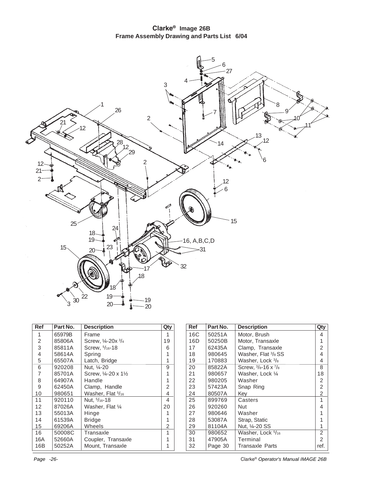#### **Clarke® Image 26B Frame Assembly Drawing and Parts List 6/04**



| <b>Ref</b> | Part No. | <b>Description</b>   |    |
|------------|----------|----------------------|----|
| 1          | 65979B   | Frame                | 1  |
| 2          | 85806A   | Screw, 1/4-20x 3/4   | 19 |
| 3          | 85811A   | Screw, 5/16-18       | 6  |
| 4          | 58614A   | Spring               | 1  |
| 5          | 65507A   | Latch, Bridge        | 1  |
| 6          | 920208   | Nut, 1⁄4-20          | 9  |
| 7          | 85701A   | Screw, 1/4-20 x 11/2 | 1  |
| 8          | 64907A   | Handle               | 1  |
| 9          | 62450A   | Clamp, Handle        | 2  |
| 10         | 980651   | Washer, Flat 5/16    | 4  |
| 11         | 920110   | Nut, 5/16-18         | 4  |
| 12         | 87026A   | Washer, Flat 1/4     | 20 |
| 13         | 55013A   | Hinge                | 1  |
| 14         | 61539A   | <b>Bridge</b>        | 1  |
| 15         | 69206A   | Wheels               | 2  |
| 16         | 50008C   | Transaxle            | 1  |
| 16A        | 52660A   | Coupler, Transaxle   |    |
| 16B        | 50252A   | Mount, Transaxle     |    |

| Ref | Part No. | Qty<br><b>Description</b>                |      |
|-----|----------|------------------------------------------|------|
| 16C | 50251A   | Motor, Brush                             | 4    |
| 16D | 50250B   | Motor, Transaxle                         | 1    |
| 17  | 62435A   | Clamp, Transaxle                         | 2    |
| 18  | 980645   | Washer, Flat 3/8 SS                      | 4    |
| 19  | 170883   | Washer, Lock 3/8                         | 4    |
| 20  | 85822A   | Screw, $\frac{3}{8}$ -16 x $\frac{7}{8}$ | 8    |
| 21  | 980657   | Washer, Lock 1/4                         | 18   |
| 22  | 980205   | Washer                                   | 2    |
| 23  | 57423A   | Snap Ring                                | 2    |
| 24  | 80507A   | Kev                                      | 2    |
| 25  | 899769   | Casters                                  | 1    |
| 26  | 920260   | Nut                                      | 4    |
| 27  | 980646   | Washer                                   | 1    |
| 28  | 53087A   | Strap, Static                            | 1    |
| 29  | 81104A   | Nut, ¼-20 SS                             | 1    |
| 30  | 980652   | Washer, Lock 5/16                        | 2    |
| 31  | 47905A   | Terminal                                 | 2    |
| 32  | Page 30  | Transaxle Parts                          | ref. |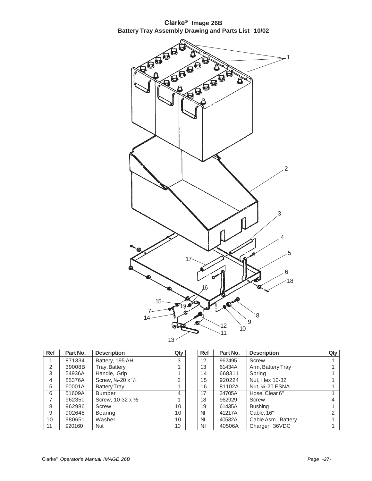



| Ref             | Part No. | <b>Description</b>                       | Qty            | Ref       | Part No. | <b>Description</b>  | Qty |
|-----------------|----------|------------------------------------------|----------------|-----------|----------|---------------------|-----|
|                 | 871334   | Battery, 195 AH                          | 3              | 12        | 962495   | Screw               |     |
| $\overline{2}$  | 39008B   | Tray, Battery                            |                | 13        | 61434A   | Arm, Battery Tray   |     |
| 3               | 54936A   | Handle, Grip                             |                | 14        | 668311   | Spring              |     |
| 4               | 85376A   | Screw, $\frac{1}{4}$ -20 x $\frac{5}{8}$ | $\overline{2}$ | 15        | 920224   | Nut, Hex 10-32      |     |
| 5               | 60001A   | <b>Battery Tray</b>                      |                | 16        | 81102A   | Nut, 1/4-20 ESNA    |     |
| 6               | 51609A   | Bumper                                   | 4              | 17        | 34705A   | Hose, Clear 6"      |     |
|                 | 962350   | Screw, 10-32 x 1/2                       |                | 18        | 962929   | Screw               | 4   |
| 8               | 962986   | Screw                                    | 10             | 19        | 61435A   | <b>Bushing</b>      |     |
| 9               | 902648   | <b>Bearing</b>                           | 10             | N         | 41217A   | Cable, 16"          | ⌒   |
| 10 <sup>°</sup> | 980651   | Washer                                   | 10             | N         | 40532A   | Cable Asm., Battery |     |
| 11              | 920160   | <b>Nut</b>                               | 10             | <b>NI</b> | 40506A   | Charger, 36VDC      |     |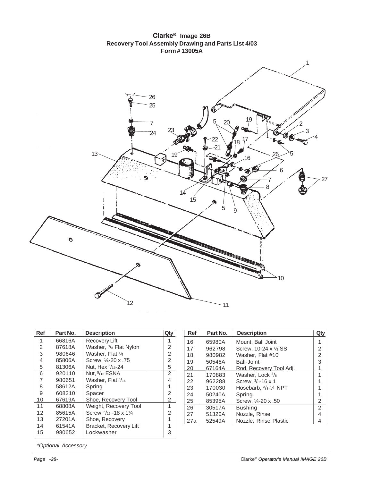**Clarke® Image 26B Recovery Tool Assembly Drawing and Parts List 4/03 Form # 13005A**



| Ref | Part No. | <b>Description</b>                        | Qty            |
|-----|----------|-------------------------------------------|----------------|
| 1   | 66816A   | <b>Recovery Lift</b>                      |                |
| 2   | 87618A   | Washer, 3/8 Flat Nylon                    | 2              |
| 3   | 980646   | Washer, Flat 1/4                          | $\overline{2}$ |
| 4   | 85806A   | Screw, 1/4-20 x .75                       | $\overline{2}$ |
| 5   | 81306A   | Nut. Hex <sup>5</sup> / <sub>16</sub> -24 | 5              |
| 6   | 920110   | Nut, 5/16 ESNA                            | 2              |
| 7   | 980651   | Washer, Flat 5/16                         | 4              |
| 8   | 58612A   | Spring                                    | 1              |
| 9   | 608210   | Spacer                                    | 2              |
| 10  | 67619A   | Shoe, Recovery Tool                       | 2              |
| 11  | 68808A   | Weight, Recovery Tool                     | 1              |
| 12  | 85615A   | Screw, $5/16 - 18 \times 1\frac{1}{4}$    | 2              |
| 13  | 27201A   | Shoe, Recovery                            |                |
| 14  | 61541A   | Bracket, Recovery Lift                    |                |
| 15  | 980652   | Lockwasher                                | 3              |

*\*Optional Accessory*

| Ref | Part No. | <b>Description</b>           | Qty            |
|-----|----------|------------------------------|----------------|
| 16  | 65980A   | Mount. Ball Joint            | 1              |
| 17  | 962798   | Screw, 10-24 x 1/2 SS        | 2              |
| 18  | 980982   | Washer, Flat #10             | $\overline{2}$ |
| 19  | 50546A   | Ball-Joint                   | 3              |
| 20  | 67164A   | Rod, Recovery Tool Adj.      | 1              |
| 21  | 170883   | Washer, Lock 3/8             | 1              |
| 22  | 962288   | Screw, $\frac{3}{8}$ -16 x 1 | 1              |
| 23  | 170030   | Hosebarb, $3/s-1/4$ NPT      | 1              |
| 24  | 50240A   | Spring                       | 1              |
| 25  | 85395A   | Screw, 1/4-20 x .50          | 2              |
| 26  | 30517A   | <b>Bushing</b>               | $\mathcal{P}$  |
| 27  | 51320A   | Nozzle, Rinse                | 4              |
| 27a | 52549A   | Nozzle, Rinse Plastic        | 4              |
|     |          |                              |                |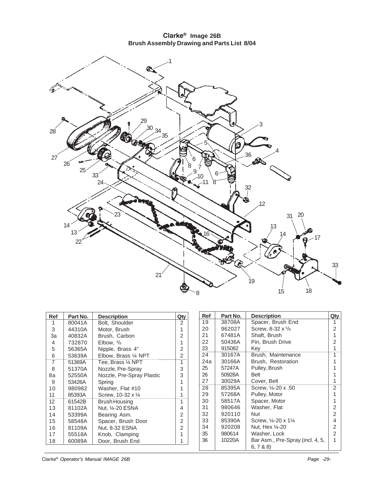**Clarke® Image 26B Brush Assembly Drawing and Parts List 8/04**



| <b>Ref</b> | Part No. | <b>Description</b>        | Qty | <b>Ref</b> | Part No. | <b>Description</b>                 | Qty |
|------------|----------|---------------------------|-----|------------|----------|------------------------------------|-----|
|            | 80041A   | Bolt, Shoulder            | 2   | 19         | 38708A   | Spacer, Brush End                  |     |
| 3          | 44310A   | Motor, Brush              |     | 20         | 962027   | Screw, 8-32 $\times$ $\frac{5}{8}$ | 2   |
| 3a         | 40832A   | Brush, Carbon             | 2   | 21         | 67481A   | Shaft, Brush                       |     |
| 4          | 732870   | Elbow. $\frac{3}{8}$      |     | 22         | 50436A   | Pin, Brush Drive                   | 2   |
| 5          | 56365A   | Nipple, Brass 4"          | 2   | 23         | 915082   | Key                                |     |
| 6          | 53639A   | Elbow, Brass 1/4 NPT      | 2   | 24         | 30167A   | Brush, Maintenance                 |     |
| 7          | 51369A   | Tee, Brass 1⁄4 NPT        | 1   | 24a        | 30166A   | Brush, Restoration                 |     |
| 8          | 51370A   | Nozzle, Pre-Spray         | 3   | 25         | 57247A   | Pulley, Brush                      |     |
| 8a         | 52550A   | Nozzle, Pre-Spray Plastic | 3   | 26         | 50928A   | Belt                               |     |
| 9          | 53426A   | Spring                    |     | 27         | 30029A   | Cover, Belt                        |     |
| 10         | 980982   | Washer, Flat #10          |     | 28         | 85395A   | Screw, 1/4-20 x .50                | 2   |
| 11         | 85393A   | Screw, 10-32 x 1/4        |     | 29         | 57268A   | Pulley, Motor                      |     |
| 12         | 61542B   | <b>Brush Housing</b>      | 1   | 30         | 58517A   | Spacer, Motor                      |     |
| 13         | 81102A   | Nut, 1/4-20 ESNA          | 4   | 31         | 980646   | Washer, Flat                       | 2   |
| 14         | 53399A   | Bearing Asm.              | 2   | 32         | 920110   | Nut                                | 2   |
| 15         | 58548A   | Spacer, Brush Door        | 2   | 33         | 85390A   | Screw, 1/4-20 x 11/4               | 4   |
| 16         | 81109A   | Nut, 8-32 ESNA            | 2   | 34         | 920208   | Nut, Hex 1/4-20                    | 2   |
| 17         | 55518A   | Knob, Clamping            |     | 35         | 980614   | Washer, Lock                       | 2   |
| 18         | 60089A   | Door, Brush End           |     | 36         | 10220A   | Bar Asm., Pre-Spray (incl. 4, 5,   | 1   |
|            |          |                           |     |            |          | 6, 7, 8, 8                         |     |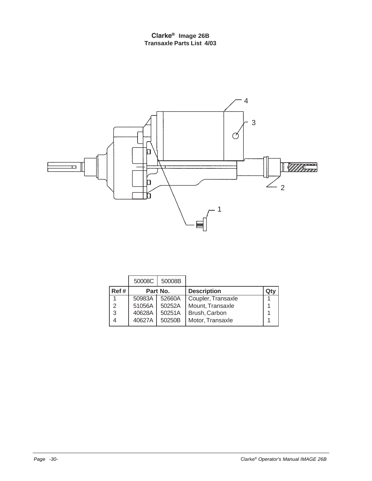

|               | 50008C           | 50008B |                    |  |
|---------------|------------------|--------|--------------------|--|
| Ref#          | Part No.         |        | <b>Description</b> |  |
|               | 50983A           | 52660A | Coupler, Transaxle |  |
| $\mathcal{P}$ | 51056A<br>50252A |        | Mount, Transaxle   |  |
| 3             | 40628A           | 50251A | Brush, Carbon      |  |
|               | 40627A           | 50250B | Motor, Transaxle   |  |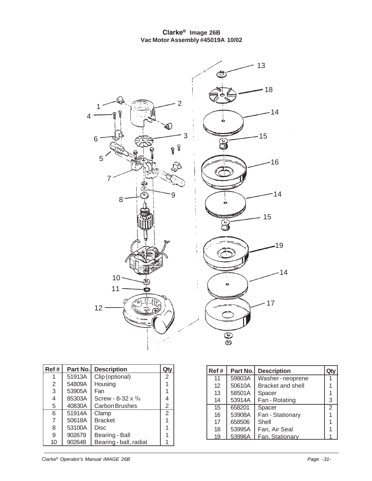#### **Clarke® Image 26B Vac Motor Assembly #45019A 10/02**



| Ref# | Part No. | <b>Description</b>                  | Qt             |
|------|----------|-------------------------------------|----------------|
| 1    | 51913A   | Clip (optional)                     | 2              |
| 2    | 54809A   | Housing                             |                |
| 3    | 53905A   | Fan                                 |                |
| 4    | 85303A   | Screw - 8-32 $\times$ $\frac{3}{8}$ | 4              |
| 5    | 40830A   | Carbon Brushes                      | 2              |
| 6    | 51914A   | Clamp                               | $\overline{2}$ |
| 7    | 50618A   | <b>Bracket</b>                      |                |
| 8    | 53100A   | Disc                                |                |
| 9    | 902679   | Bearing - Ball                      |                |
| 10   | 902648   | Bearing - ball, radial              |                |

| Ref# | Part No. | <b>Description</b>       |   |
|------|----------|--------------------------|---|
| 11   | 59803A   | Washer-neoprene          |   |
| 12   | 50610A   | <b>Bracket and shell</b> |   |
| 13   | 58501A   | Spacer                   |   |
| 14   | 53914A   | Fan - Rotating           | 3 |
| 15   | 658201   | Spacer                   | 2 |
| 16   | 53908A   | Fan - Stationary         |   |
| 17   | 658506   | Shell                    |   |
| 18   | 53995A   | Fan, Air Seal            |   |
| 19   | 53996A   | Fan, Stationary          |   |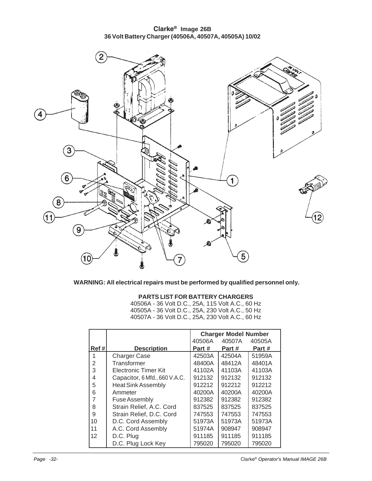**Clarke® Image 26B 36 Volt Battery Charger (40506A, 40507A, 40505A) 10/02**



**WARNING: All electrical repairs must be performed by qualified personnel only.**

#### **PARTS LIST FOR BATTERY CHARGERS**

40506A - 36 Volt D.C., 25A, 115 Volt A.C., 60 Hz 40505A - 36 Volt D.C., 25A, 230 Volt A.C., 50 Hz 40507A - 36 Volt D.C., 25A, 230 Volt A.C., 60 Hz

|                |                               | <b>Charger Model Number</b> |        |        |
|----------------|-------------------------------|-----------------------------|--------|--------|
|                |                               | 40506A                      | 40507A | 40505A |
| Ref#           | <b>Description</b>            | Part #                      | Part # | Part # |
|                | <b>Charger Case</b>           | 42503A                      | 42504A | 51959A |
| $\overline{2}$ | Transformer                   | 48400A                      | 48412A | 48401A |
| 3              | <b>Electronic Timer Kit</b>   | 41102A                      | 41103A | 41103A |
| 4              | Capacitor, 6 Mfd., 660 V.A.C. | 912132                      | 912132 | 912132 |
| 5              | <b>Heat Sink Assembly</b>     | 912212                      | 912212 | 912212 |
| 6              | Ammeter                       | 40200A                      | 40200A | 40200A |
| 7              | <b>Fuse Assembly</b>          | 912382                      | 912382 | 912382 |
| 8              | Strain Relief, A.C. Cord      | 837525                      | 837525 | 837525 |
| 9              | Strain Relief, D.C. Cord      | 747553                      | 747553 | 747553 |
| 10             | D.C. Cord Assembly            | 51973A                      | 51973A | 51973A |
| 11             | A.C. Cord Assembly            | 51974A                      | 908947 | 908947 |
| 12             | D.C. Plug                     | 911185                      | 911185 | 911185 |
|                | D.C. Plug Lock Key            | 795020                      | 795020 | 795020 |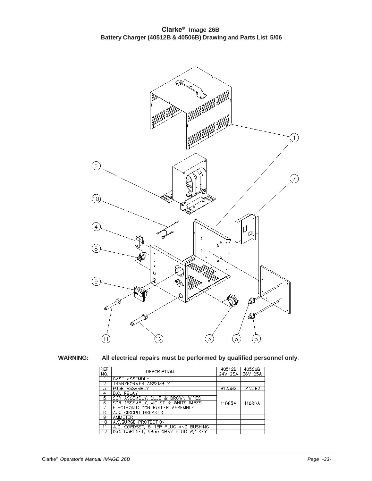

#### **WARNING: All electrical repairs must be performed by qualified personnel only**.

| <b>RFF</b>    | <b>DESCRIPTION</b>                   | 40512B           | 40506B  |
|---------------|--------------------------------------|------------------|---------|
| NO.           |                                      | 24V 25A          | 36V 25A |
|               | CASE ASSEMBLY                        |                  |         |
| $\mathcal{P}$ | TRANSFORMER ASSEMBLY                 |                  |         |
| 3             | <b>FUSE ASSEMBLY</b>                 | 912382           | 912382  |
| 4             | D.C. RELAY                           |                  |         |
| 5             | SCR ASSEMBLY, BLUE & BROWN WIRES     |                  |         |
| 6             | SCR ASSEMBLY, VIOLET & WHITE WIRES   | 11085A<br>11086A |         |
| 7             | ELECTRONIC CONTROLLER ASSEMBLY       |                  |         |
| 8             | A.C. CIRCUIT BREAKER                 |                  |         |
| 9             | <b>AMMETER</b>                       |                  |         |
| 10            | A.C. SURGE PROTECTION                |                  |         |
| 11            | A.C. CORDSET, 5-15P PLUG AND BUSHING |                  |         |
| 12            | D.C. CORDSET, SB50 GRAY PLUG W/ KEY  |                  |         |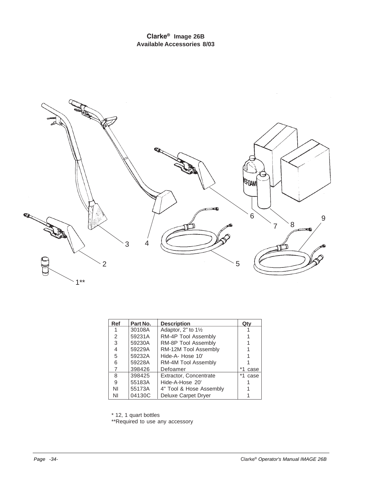**Clarke® Image 26B Available Accessories 8/03**



| Ref | Part No. | <b>Description</b>         | Qty  |
|-----|----------|----------------------------|------|
|     | 30108A   | Adaptor, 2" to 11/2        |      |
| 2   | 59231A   | RM-4P Tool Assembly        |      |
| 3   | 59230A   | RM-8P Tool Assembly        |      |
| 4   | 59229A   | RM-12M Tool Assembly       |      |
| 5   | 59232A   | Hide-A- Hose 10'           |      |
| 6   | 59228A   | RM-4M Tool Assembly        |      |
|     | 398426   | Defoamer                   | case |
| 8   | 398425   | Extractor, Concentrate     | case |
| 9   | 55183A   | Hide-A-Hose 20'            |      |
| ΝI  | 55173A   | 4" Tool & Hose Assembly    |      |
| ΝI  | 04130C   | <b>Deluxe Carpet Dryer</b> |      |

\* 12, 1 quart bottles

\*\*Required to use any accessory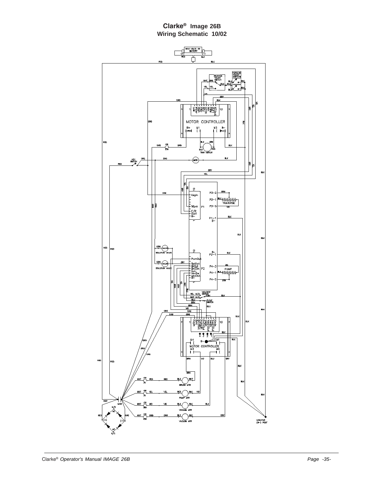#### **Clarke® Image 26B Wiring Schematic 10/02**

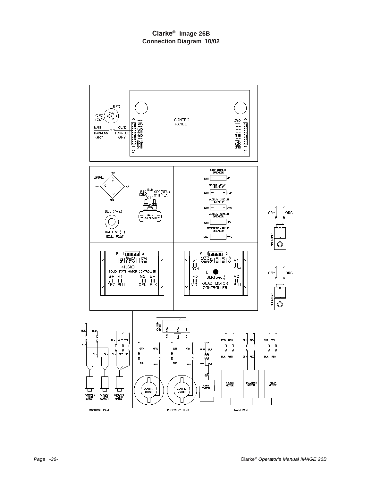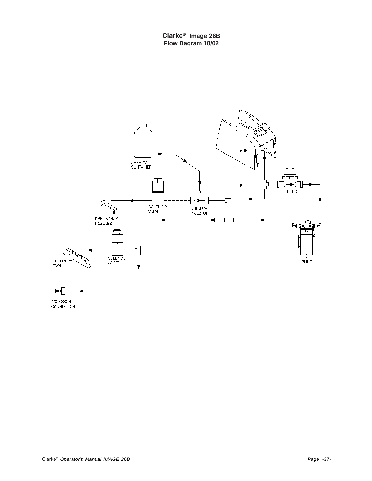**Clarke® Image 26B Flow Dagram 10/02**

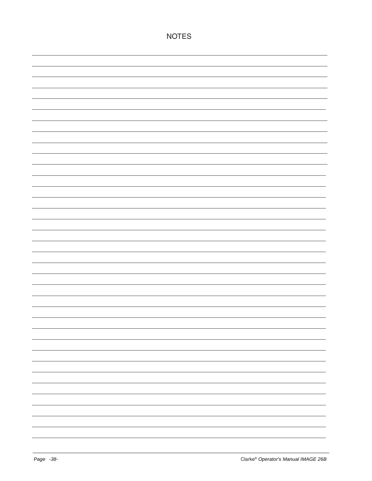| <b>NOTES</b> |
|--------------|
|              |
|              |
|              |
|              |
|              |
|              |
|              |
|              |
|              |
|              |
|              |
|              |
|              |
|              |
|              |
|              |
|              |
|              |
|              |
|              |
|              |
|              |
|              |
|              |
|              |
|              |
|              |
|              |
|              |
|              |
|              |
|              |
|              |
|              |
|              |
|              |
|              |
|              |
|              |
|              |
|              |
|              |
|              |
|              |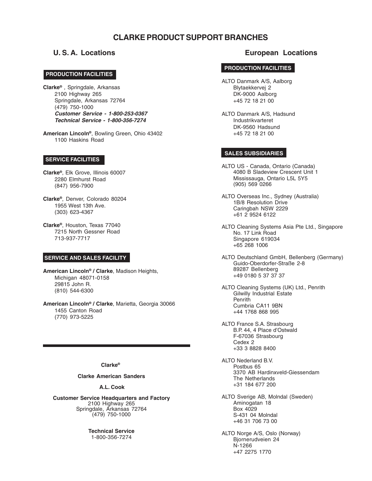#### **CLARKE PRODUCT SUPPORT BRANCHES**

#### **CORPO PRODUCTION FACILITIES**

**Clarke®** , Springdale, Arkansas 2100 Highway 265 Springdale, Arkansas 72764 (479) 750-1000 **Customer Service - 1-800-253-0367 Technical Service - 1-800-356-7274**

**American Lincoln®**, Bowling Green, Ohio 43402 1100 Haskins Road

#### **SERVICE FACILITIES**

**Clarke®**, Elk Grove, Illinois 60007 2280 Elmhurst Road (847) 956-7900

**Clarke®**, Denver, Colorado 80204 1955 West 13th Ave. (303) 623-4367

**Clarke®**, Houston, Texas 77040 7215 North Gessner Road 713-937-7717

#### **SERVICE AND SALES FACILITY**

**American Lincoln® / Clarke**, Madison Heights, Michigan 48071-0158 29815 John R. (810) 544-6300

**American Lincoln® / Clarke**, Marietta, Georgia 30066 1455 Canton Road (770) 973-5225

#### **Clarke®**

**Clarke American Sanders**

#### **A.L. Cook**

**Customer Service Headquarters and Factory** 2100 Highway 265 Springdale, Arkansas 72764 (479) 750-1000

> **Technical Service** 1-800-356-7274

#### **U. S. A. Locations European Locations**

#### **PRODUCTION FACILITIES**

ALTO Danmark A/S, Aalborg Blytaekkervej 2 DK-9000 Aalborg +45 72 18 21 00

ALTO Danmark A/S, Hadsund Industrikvarteret DK-9560 Hadsund +45 72 18 21 00

#### **SALES SUBSIDIARIES**

- ALTO US Canada, Ontario (Canada) 4080 B Sladeview Crescent Unit 1 Mississauga, Ontario L5L 5Y5 (905) 569 0266
- ALTO Overseas Inc., Sydney (Australia) 1B/8 Resolution Drive Caringbah NSW 2229 +61 2 9524 6122
- ALTO Cleaning Systems Asia Pte Ltd., Singapore No. 17 Link Road Singapore 619034 +65 268 1006
- ALTO Deutschland GmbH, Bellenberg (Germany) Guido-Oberdorfer-Straße 2-8 89287 Bellenberg +49 0180 5 37 37 37
- ALTO Cleaning Systems (UK) Ltd., Penrith Gilwilly Industrial Estate **Penrith** Cumbria CA11 9BN +44 1768 868 995
- ALTO France S.A. Strasbourg B.P. 44, 4 Place d'Ostwald F-67036 Strasbourg Cedex 2 +33 3 8828 8400

ALTO Nederland B.V. Postbus 65 3370 AB Hardinxveld-Giessendam The Netherlands +31 184 677 200

ALTO Sverige AB, Molndal (Sweden) Aminogatan 18 Box 4029 S-431 04 Molndal +46 31 706 73 00

ALTO Norge A/S, Oslo (Norway) Bjornerudveien 24 N-1266 +47 2275 1770